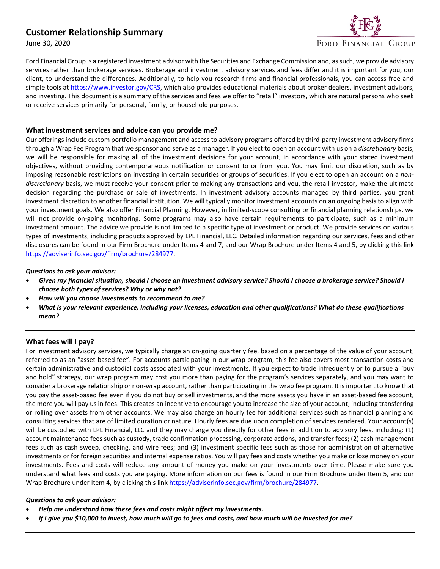# **Customer Relationship Summary**

June 30, 2020



Ford Financial Group is a registered investment advisor with the Securities and Exchange Commission and, assuch, we provide advisory services rather than brokerage services. Brokerage and investment advisory services and fees differ and it is important for you, our client, to understand the differences. Additionally, to help you research firms and financial professionals, you can access free and simple tools at [https://www.investor.gov/CRS,](https://www.investor.gov/CRS) which also provides educational materials about broker dealers, investment advisors, and investing. This document is a summary of the services and fees we offer to "retail" investors, which are natural persons who seek or receive services primarily for personal, family, or household purposes.

#### **What investment services and advice can you provide me?**

Our offerings include custom portfolio management and access to advisory programs offered by third-party investment advisory firms through a Wrap Fee Program that we sponsor and serve as a manager. If you elect to open an account with us on a *discretionary* basis, we will be responsible for making all of the investment decisions for your account, in accordance with your stated investment objectives, without providing contemporaneous notification or consent to or from you. You may limit our discretion, such as by imposing reasonable restrictions on investing in certain securities or groups of securities. If you elect to open an account on a *nondiscretionary* basis, we must receive your consent prior to making any transactions and you, the retail investor, make the ultimate decision regarding the purchase or sale of investments. In investment advisory accounts managed by third parties, you grant investment discretion to another financial institution. We will typically monitor investment accounts on an ongoing basis to align with your investment goals. We also offer Financial Planning. However, in limited-scope consulting or financial planning relationships, we will not provide on-going monitoring. Some programs may also have certain requirements to participate, such as a minimum investment amount. The advice we provide is not limited to a specific type of investment or product. We provide services on various types of investments, including products approved by LPL Financial, LLC. Detailed information regarding our services, fees and other disclosures can be found in our Firm Brochure under Items 4 and 7, and our Wrap Brochure under Items 4 and 5, by clicking this link [https://adviserinfo.sec.gov/firm/brochure/284977.](https://adviserinfo.sec.gov/firm/brochure/284977)

#### *Questions to ask your advisor:*

- *Given my financial situation, should I choose an investment advisory service? Should I choose a brokerage service? Should I choose both types of services? Why or why not?*
- *How will you choose investments to recommend to me?*
- *What is your relevant experience, including your licenses, education and other qualifications? What do these qualifications mean?*

## **What fees will I pay?**

For investment advisory services, we typically charge an on-going quarterly fee, based on a percentage of the value of your account, referred to as an "asset-based fee". For accounts participating in our wrap program, this fee also covers most transaction costs and certain administrative and custodial costs associated with your investments. If you expect to trade infrequently or to pursue a "buy and hold" strategy, our wrap program may cost you more than paying for the program's services separately, and you may want to consider a brokerage relationship or non-wrap account, rather than participating in the wrap fee program. It is important to know that you pay the asset-based fee even if you do not buy or sell investments, and the more assets you have in an asset-based fee account, the more you will pay us in fees. This creates an incentive to encourage you to increase the size of your account, including transferring or rolling over assets from other accounts. We may also charge an hourly fee for additional services such as financial planning and consulting services that are of limited duration or nature. Hourly fees are due upon completion of services rendered. Your account(s) will be custodied with LPL Financial, LLC and they may charge you directly for other fees in addition to advisory fees, including: (1) account maintenance fees such as custody, trade confirmation processing, corporate actions, and transfer fees; (2) cash management fees such as cash sweep, checking, and wire fees; and (3) investment specific fees such as those for administration of alternative investments or for foreign securities and internal expense ratios. You will pay fees and costs whether you make or lose money on your investments. Fees and costs will reduce any amount of money you make on your investments over time. Please make sure you understand what fees and costs you are paying. More information on our fees is found in our Firm Brochure under Item 5, and our Wrap Brochure under Item 4, by clicking this lin[k https://adviserinfo.sec.gov/firm/brochure/284977.](https://adviserinfo.sec.gov/firm/brochure/284977)

#### *Questions to ask your advisor:*

- *Help me understand how these fees and costs might affect my investments.*
- *If I give you \$10,000 to invest, how much will go to fees and costs, and how much will be invested for me?*